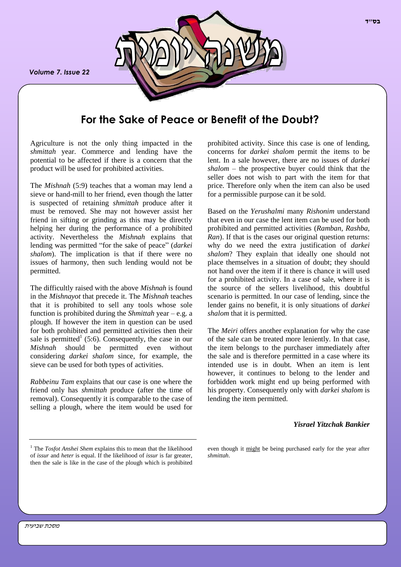*Volume 7. Issue 22*



# **For the Sake of Peace or Benefit of the Doubt?**

Agriculture is not the only thing impacted in the *shmittah* year. Commerce and lending have the potential to be affected if there is a concern that the product will be used for prohibited activities.

The *Mishnah* (5:9) teaches that a woman may lend a sieve or hand-mill to her friend, even though the latter is suspected of retaining *shmittah* produce after it must be removed. She may not however assist her friend in sifting or grinding as this may be directly helping her during the performance of a prohibited activity. Nevertheless the *Mishnah* explains that lending was permitted "for the sake of peace" (*darkei shalom*). The implication is that if there were no issues of harmony, then such lending would not be permitted.

The difficultly raised with the above *Mishnah* is found in the *Mishnayot* that precede it. The *Mishnah* teaches that it is prohibited to sell any tools whose sole function is prohibited during the *Shmittah* year – e.g. a plough. If however the item in question can be used for both prohibited and permitted activities then their sale is permitted<sup>1</sup> (5:6). Consequently, the case in our *Mishnah* should be permitted even without considering *darkei shalom* since, for example, the sieve can be used for both types of activities.

*Rabbeinu Tam* explains that our case is one where the friend only has *shmittah* produce (after the time of removal). Consequently it is comparable to the case of selling a plough, where the item would be used for

prohibited activity. Since this case is one of lending, concerns for *darkei shalom* permit the items to be lent. In a sale however, there are no issues of *darkei shalom* – the prospective buyer could think that the seller does not wish to part with the item for that price. Therefore only when the item can also be used for a permissible purpose can it be sold.

Based on the *Yerushalmi* many *Rishonim* understand that even in our case the lent item can be used for both prohibited and permitted activities (*Ramban, Rashba, Ran*). If that is the cases our original question returns: why do we need the extra justification of *darkei shalom*? They explain that ideally one should not place themselves in a situation of doubt; they should not hand over the item if it there is chance it will used for a prohibited activity. In a case of sale, where it is the source of the sellers livelihood, this doubtful scenario is permitted. In our case of lending, since the lender gains no benefit, it is only situations of *darkei shalom* that it is permitted.

The *Meiri* offers another explanation for why the case of the sale can be treated more leniently. In that case, the item belongs to the purchaser immediately after the sale and is therefore permitted in a case where its intended use is in doubt. When an item is lent however, it continues to belong to the lender and forbidden work might end up being performed with his property. Consequently only with *darkei shalom* is lending the item permitted.

## *Yisrael Yitzchak Bankier*

even though it might be being purchased early for the year after *shmittah*.

<sup>&</sup>lt;sup>1</sup> The *Tosfot Anshei Shem* explains this to mean that the likelihood of *issur* and *heter* is equal. If the likelihood of *issur* is far greater, then the sale is like in the case of the plough which is prohibited